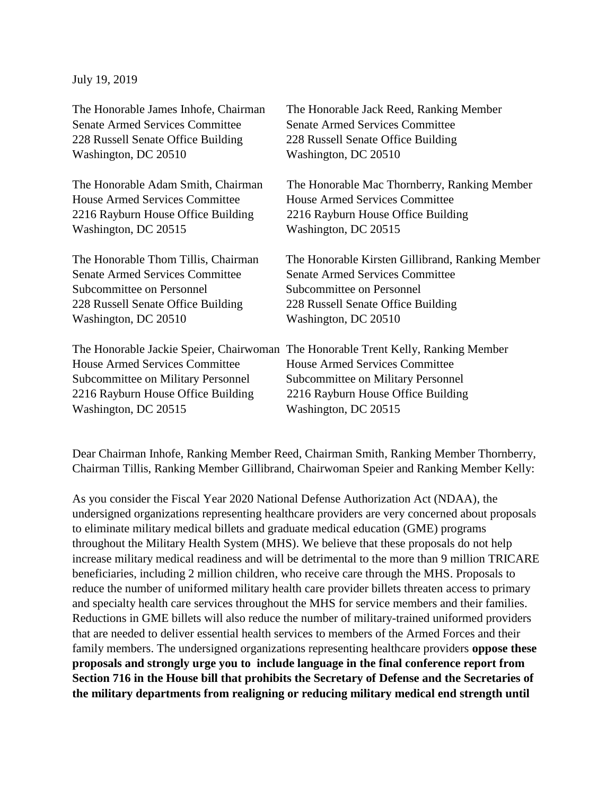July 19, 2019

The Honorable James Inhofe, Chairman The Honorable Jack Reed, Ranking Member Senate Armed Services Committee Senate Armed Services Committee 228 Russell Senate Office Building 228 Russell Senate Office Building Washington, DC 20510 Washington, DC 20510 The Honorable Adam Smith, Chairman The Honorable Mac Thornberry, Ranking Member House Armed Services Committee House Armed Services Committee 2216 Rayburn House Office Building 2216 Rayburn House Office Building Washington, DC 20515 Washington, DC 20515 The Honorable Thom Tillis, Chairman The Honorable Kirsten Gillibrand, Ranking Member Senate Armed Services Committee Senate Armed Services Committee Subcommittee on Personnel Subcommittee on Personnel 228 Russell Senate Office Building 228 Russell Senate Office Building Washington, DC 20510 Washington, DC 20510 The Honorable Jackie Speier, Chairwoman The Honorable Trent Kelly, Ranking Member House Armed Services Committee House Armed Services Committee Subcommittee on Military Personnel Subcommittee on Military Personnel 2216 Rayburn House Office Building 2216 Rayburn House Office Building Washington, DC 20515 Washington, DC 20515

Dear Chairman Inhofe, Ranking Member Reed, Chairman Smith, Ranking Member Thornberry, Chairman Tillis, Ranking Member Gillibrand, Chairwoman Speier and Ranking Member Kelly:

As you consider the Fiscal Year 2020 National Defense Authorization Act (NDAA), the undersigned organizations representing healthcare providers are very concerned about proposals to eliminate military medical billets and graduate medical education (GME) programs throughout the Military Health System (MHS). We believe that these proposals do not help increase military medical readiness and will be detrimental to the more than 9 million TRICARE beneficiaries, including 2 million children, who receive care through the MHS. Proposals to reduce the number of uniformed military health care provider billets threaten access to primary and specialty health care services throughout the MHS for service members and their families. Reductions in GME billets will also reduce the number of military-trained uniformed providers that are needed to deliver essential health services to members of the Armed Forces and their family members. The undersigned organizations representing healthcare providers **oppose these proposals and strongly urge you to include language in the final conference report from Section 716 in the House bill that prohibits the Secretary of Defense and the Secretaries of the military departments from realigning or reducing military medical end strength until**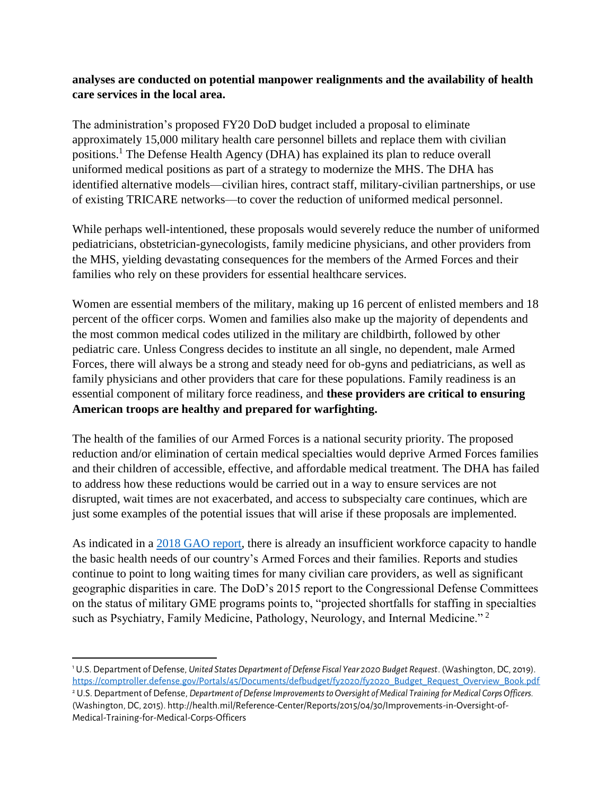## **analyses are conducted on potential manpower realignments and the availability of health care services in the local area.**

The administration's proposed FY20 DoD budget included a proposal to eliminate approximately 15,000 military health care personnel billets and replace them with civilian positions.<sup>1</sup> The Defense Health Agency (DHA) has explained its plan to reduce overall uniformed medical positions as part of a strategy to modernize the MHS. The DHA has identified alternative models—civilian hires, contract staff, military-civilian partnerships, or use of existing TRICARE networks—to cover the reduction of uniformed medical personnel.

While perhaps well-intentioned, these proposals would severely reduce the number of uniformed pediatricians, obstetrician-gynecologists, family medicine physicians, and other providers from the MHS, yielding devastating consequences for the members of the Armed Forces and their families who rely on these providers for essential healthcare services.

Women are essential members of the military, making up 16 percent of enlisted members and 18 percent of the officer corps. Women and families also make up the majority of dependents and the most common medical codes utilized in the military are childbirth, followed by other pediatric care. Unless Congress decides to institute an all single, no dependent, male Armed Forces, there will always be a strong and steady need for ob-gyns and pediatricians, as well as family physicians and other providers that care for these populations. Family readiness is an essential component of military force readiness, and **these providers are critical to ensuring American troops are healthy and prepared for warfighting.**

The health of the families of our Armed Forces is a national security priority. The proposed reduction and/or elimination of certain medical specialties would deprive Armed Forces families and their children of accessible, effective, and affordable medical treatment. The DHA has failed to address how these reductions would be carried out in a way to ensure services are not disrupted, wait times are not exacerbated, and access to subspecialty care continues, which are just some examples of the potential issues that will arise if these proposals are implemented.

As indicated in a [2018 GAO report,](https://www.gao.gov/assets/700/690409.pdf) there is already an insufficient workforce capacity to handle the basic health needs of our country's Armed Forces and their families. Reports and studies continue to point to long waiting times for many civilian care providers, as well as significant geographic disparities in care. The DoD's 2015 report to the Congressional Defense Committees on the status of military GME programs points to, "projected shortfalls for staffing in specialties such as Psychiatry, Family Medicine, Pathology, Neurology, and Internal Medicine."<sup>2</sup>

 $\overline{\phantom{a}}$ <sup>1</sup> U.S. Department of Defense, *United States Department of Defense Fiscal Year 2020 Budget Request*. (Washington, DC, 2019). [https://comptroller.defense.gov/Portals/45/Documents/defbudget/fy2020/fy2020\\_Budget\\_Request\\_Overview\\_Book.pdf](https://comptroller.defense.gov/Portals/45/Documents/defbudget/fy2020/fy2020_Budget_Request_Overview_Book.pdf) <sup>2</sup> U.S. Department of Defense, *Department of Defense Improvements to Oversight of Medical Training for Medical Corps Officers.* 

<sup>(</sup>Washington, DC, 2015). http://health.mil/Reference-Center/Reports/2015/04/30/Improvements-in-Oversight-of-Medical-Training-for-Medical-Corps-Officers